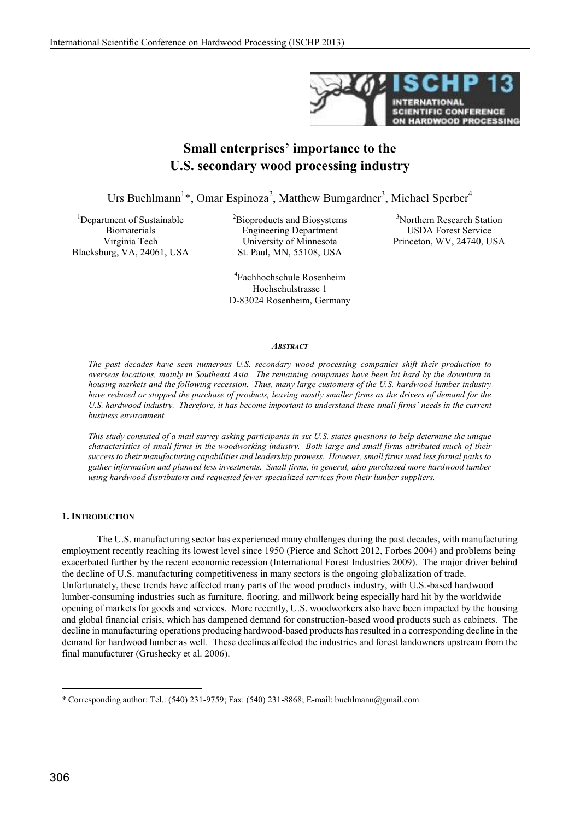

# **Small enterprises' importance to the U.S. secondary wood processing industry**

Urs Buehlmann<sup>1</sup>\*, Omar Espinoza<sup>2</sup>, Matthew Bumgardner<sup>3</sup>, Michael Sperber<sup>4</sup>

<sup>1</sup>Department of Sustainable Biomaterials Virginia Tech Blacksburg, VA, 24061, USA <sup>2</sup>Bioproducts and Biosystems Engineering Department University of Minnesota St. Paul, MN, 55108, USA

3 Northern Research Station USDA Forest Service Princeton, WV, 24740, USA

4 Fachhochschule Rosenheim Hochschulstrasse 1 D-83024 Rosenheim, Germany

#### *ABSTRACT*

*The past decades have seen numerous U.S. secondary wood processing companies shift their production to overseas locations, mainly in Southeast Asia. The remaining companies have been hit hard by the downturn in housing markets and the following recession. Thus, many large customers of the U.S. hardwood lumber industry have reduced or stopped the purchase of products, leaving mostly smaller firms as the drivers of demand for the* U.S. hardwood industry. Therefore, it has become important to understand these small firms' needs in the current *business environment.*

*This study consisted of a mail survey asking participants in six U.S. states questions to help determine the unique characteristics of small firms in the woodworking industry. Both large and small firms attributed much of their success to their manufacturing capabilities and leadership prowess. However, small firms used less formal paths to gather information and planned less investments. Small firms, in general, also purchased more hardwood lumber using hardwood distributors and requested fewer specialized services from their lumber suppliers.*

# **1. INTRODUCTION**

The U.S. manufacturing sector has experienced many challenges during the past decades, with manufacturing employment recently reaching its lowest level since 1950 (Pierce and Schott 2012, Forbes 2004) and problems being exacerbated further by the recent economic recession (International Forest Industries 2009). The major driver behind the decline of U.S. manufacturing competitiveness in many sectors is the ongoing globalization of trade. Unfortunately, these trends have affected many parts of the wood products industry, with U.S.-based hardwood lumber-consuming industries such as furniture, flooring, and millwork being especially hard hit by the worldwide opening of markets for goods and services. More recently, U.S. woodworkers also have been impacted by the housing and global financial crisis, which has dampened demand for construction-based wood products such as cabinets. The decline in manufacturing operations producing hardwood-based products has resulted in a corresponding decline in the demand for hardwood lumber as well. These declines affected the industries and forest landowners upstream from the final manufacturer (Grushecky et al. 2006).

-

<sup>\*</sup> Corresponding author: Tel.: (540) 231-9759; Fax: (540) 231-8868; E-mail: buehlmann@gmail.com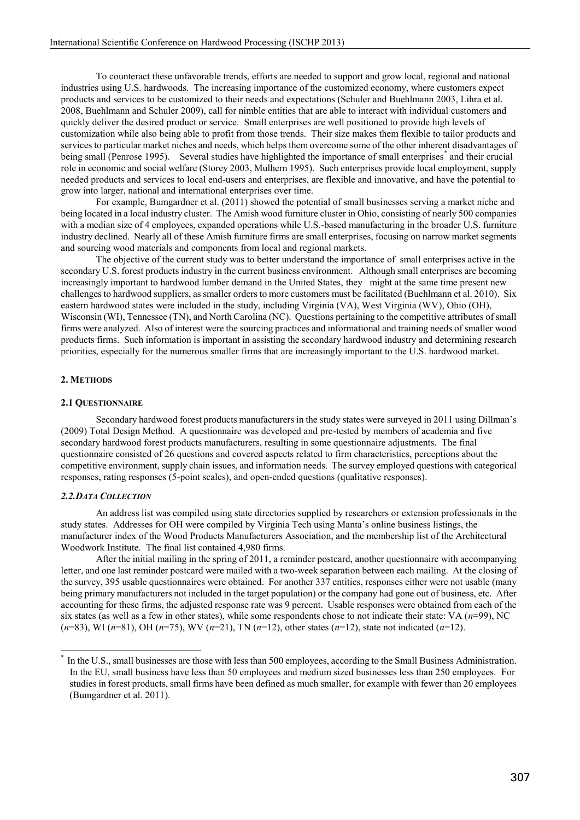To counteract these unfavorable trends, efforts are needed to support and grow local, regional and national industries using U.S. hardwoods. The increasing importance of the customized economy, where customers expect products and services to be customized to their needs and expectations (Schuler and Buehlmann 2003, Lihra et al. 2008, Buehlmann and Schuler 2009), call for nimble entities that are able to interact with individual customers and quickly deliver the desired product or service. Small enterprises are well positioned to provide high levels of customization while also being able to profit from those trends. Their size makes them flexible to tailor products and services to particular market niches and needs, which helps them overcome some of the other inherent disadvantages of being small (Penrose 1995). Several studies have highlighted the importance of small enterprises<sup>\*</sup> and their crucial role in economic and social welfare (Storey 2003, Mulhern 1995). Such enterprises provide local employment, supply needed products and services to local end-users and enterprises, are flexible and innovative, and have the potential to grow into larger, national and international enterprises over time.

For example, Bumgardner et al. (2011) showed the potential of small businesses serving a market niche and being located in a local industry cluster. The Amish wood furniture cluster in Ohio, consisting of nearly 500 companies with a median size of 4 employees, expanded operations while U.S.-based manufacturing in the broader U.S. furniture industry declined. Nearly all of these Amish furniture firms are small enterprises, focusing on narrow market segments and sourcing wood materials and components from local and regional markets.

The objective of the current study was to better understand the importance of small enterprises active in the secondary U.S. forest products industry in the current business environment. Although small enterprises are becoming increasingly important to hardwood lumber demand in the United States, they might at the same time present new challenges to hardwood suppliers, as smaller orders to more customers must be facilitated (Buehlmann et al. 2010). Six eastern hardwood states were included in the study, including Virginia (VA), West Virginia (WV), Ohio (OH), Wisconsin (WI), Tennessee (TN), and North Carolina (NC). Questions pertaining to the competitive attributes of small firms were analyzed. Also of interest were the sourcing practices and informational and training needs of smaller wood products firms. Such information is important in assisting the secondary hardwood industry and determining research priorities, especially for the numerous smaller firms that are increasingly important to the U.S. hardwood market.

# **2. METHODS**

#### **2.1 QUESTIONNAIRE**

Secondary hardwood forest products manufacturers in the study states were surveyed in 2011 using Dillman's (2009) Total Design Method. A questionnaire was developed and pre-tested by members of academia and five secondary hardwood forest products manufacturers, resulting in some questionnaire adjustments. The final questionnaire consisted of 26 questions and covered aspects related to firm characteristics, perceptions about the competitive environment, supply chain issues, and information needs. The survey employed questions with categorical responses, rating responses (5-point scales), and open-ended questions (qualitative responses).

#### *2.2.DATA COLLECTION*

An address list was compiled using state directories supplied by researchers or extension professionals in the study states. Addresses for OH were compiled by Virginia Tech using Manta's online business listings, the manufacturer index of the Wood Products Manufacturers Association, and the membership list of the Architectural Woodwork Institute. The final list contained 4,980 firms.

After the initial mailing in the spring of 2011, a reminder postcard, another questionnaire with accompanying letter, and one last reminder postcard were mailed with a two-week separation between each mailing. At the closing of the survey, 395 usable questionnaires were obtained. For another 337 entities, responses either were not usable (many being primary manufacturers not included in the target population) or the company had gone out of business, etc. After accounting for these firms, the adjusted response rate was 9 percent. Usable responses were obtained from each of the six states (as well as a few in other states), while some respondents chose to not indicate their state: VA (*n*=99), NC (*n*=83), WI (*n*=81), OH (*n*=75), WV (*n*=21), TN (*n*=12), other states (*n*=12), state not indicated (*n*=12).

In the U.S., small businesses are those with less than 500 employees, according to the Small Business Administration. In the EU, small business have less than 50 employees and medium sized businesses less than 250 employees. For studies in forest products, small firms have been defined as much smaller, for example with fewer than 20 employees (Bumgardner et al. 2011).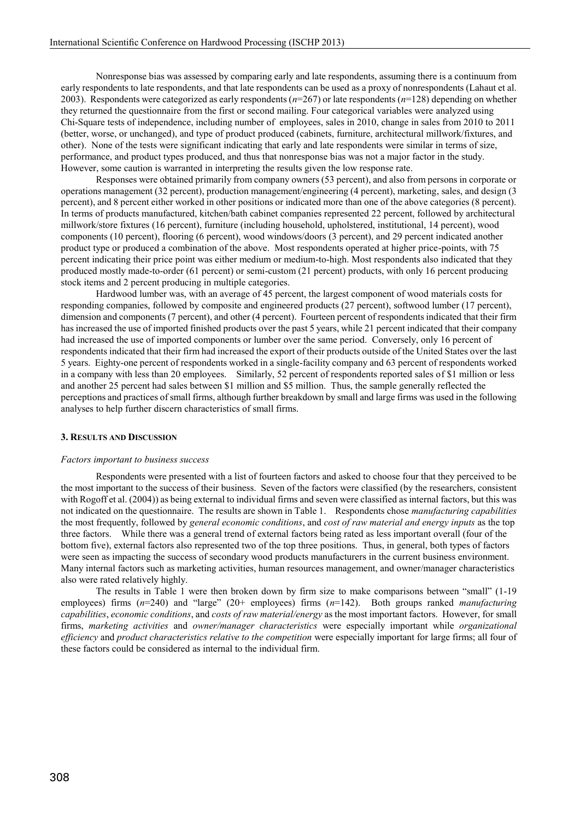Nonresponse bias was assessed by comparing early and late respondents, assuming there is a continuum from early respondents to late respondents, and that late respondents can be used as a proxy of nonrespondents (Lahaut et al. 2003). Respondents were categorized as early respondents (*n*=267) or late respondents (*n*=128) depending on whether they returned the questionnaire from the first or second mailing. Four categorical variables were analyzed using Chi-Square tests of independence, including number of employees, sales in 2010, change in sales from 2010 to 2011 (better, worse, or unchanged), and type of product produced (cabinets, furniture, architectural millwork/fixtures, and other). None of the tests were significant indicating that early and late respondents were similar in terms of size, performance, and product types produced, and thus that nonresponse bias was not a major factor in the study. However, some caution is warranted in interpreting the results given the low response rate.

Responses were obtained primarily from company owners (53 percent), and also from persons in corporate or operations management (32 percent), production management/engineering (4 percent), marketing, sales, and design (3 percent), and 8 percent either worked in other positions or indicated more than one of the above categories (8 percent). In terms of products manufactured, kitchen/bath cabinet companies represented 22 percent, followed by architectural millwork/store fixtures (16 percent), furniture (including household, upholstered, institutional, 14 percent), wood components (10 percent), flooring (6 percent), wood windows/doors (3 percent), and 29 percent indicated another product type or produced a combination of the above. Most respondents operated at higher price-points, with 75 percent indicating their price point was either medium or medium-to-high. Most respondents also indicated that they produced mostly made-to-order (61 percent) or semi-custom (21 percent) products, with only 16 percent producing stock items and 2 percent producing in multiple categories.

Hardwood lumber was, with an average of 45 percent, the largest component of wood materials costs for responding companies, followed by composite and engineered products (27 percent), softwood lumber (17 percent), dimension and components (7 percent), and other (4 percent). Fourteen percent of respondents indicated that their firm has increased the use of imported finished products over the past 5 years, while 21 percent indicated that their company had increased the use of imported components or lumber over the same period. Conversely, only 16 percent of respondents indicated that their firm had increased the export of their products outside of the United States over the last 5 years. Eighty-one percent of respondents worked in a single-facility company and 63 percent of respondents worked in a company with less than 20 employees. Similarly, 52 percent of respondents reported sales of \$1 million or less and another 25 percent had sales between \$1 million and \$5 million. Thus, the sample generally reflected the perceptions and practices of small firms, although further breakdown by small and large firms was used in the following analyses to help further discern characteristics of small firms.

#### **3. RESULTS AND DISCUSSION**

#### *Factors important to business success*

Respondents were presented with a list of fourteen factors and asked to choose four that they perceived to be the most important to the success of their business. Seven of the factors were classified (by the researchers, consistent with Rogoff et al. (2004)) as being external to individual firms and seven were classified as internal factors, but this was not indicated on the questionnaire. The results are shown in Table 1. Respondents chose *manufacturing capabilities* the most frequently, followed by *general economic conditions*, and *cost of raw material and energy inputs* as the top three factors. While there was a general trend of external factors being rated as less important overall (four of the bottom five), external factors also represented two of the top three positions. Thus, in general, both types of factors were seen as impacting the success of secondary wood products manufacturers in the current business environment. Many internal factors such as marketing activities, human resources management, and owner/manager characteristics also were rated relatively highly.

The results in Table 1 were then broken down by firm size to make comparisons between "small" (1-19 employees) firms (*n*=240) and "large" (20+ employees) firms (*n*=142). Both groups ranked *manufacturing capabilities*, *economic conditions*, and *costs of raw material/energy* as the most important factors. However, for small firms, *marketing activities* and *owner/manager characteristics* were especially important while *organizational efficiency* and *product characteristics relative to the competition* were especially important for large firms; all four of these factors could be considered as internal to the individual firm.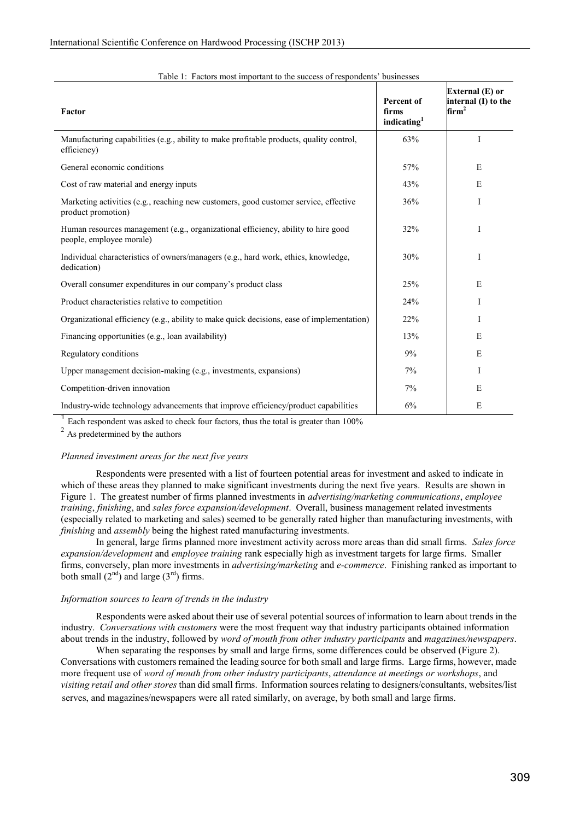| Factor                                                                                                        | Percent of<br>firms<br>indicating <sup>1</sup> | External (E) or<br>internal (I) to the<br>$\mathrm{f\!} \mathrm{irm}^2$ |
|---------------------------------------------------------------------------------------------------------------|------------------------------------------------|-------------------------------------------------------------------------|
| Manufacturing capabilities (e.g., ability to make profitable products, quality control,<br>efficiency)        | 63%                                            | I                                                                       |
| General economic conditions                                                                                   | 57%                                            | E                                                                       |
| Cost of raw material and energy inputs                                                                        | 43%                                            | E                                                                       |
| Marketing activities (e.g., reaching new customers, good customer service, effective<br>product promotion)    | 36%                                            | I                                                                       |
| Human resources management (e.g., organizational efficiency, ability to hire good<br>people, employee morale) | 32%                                            | I                                                                       |
| Individual characteristics of owners/managers (e.g., hard work, ethics, knowledge,<br>dedication)             | 30%                                            | T                                                                       |
| Overall consumer expenditures in our company's product class                                                  | 25%                                            | E                                                                       |
| Product characteristics relative to competition                                                               | 24%                                            | I                                                                       |
| Organizational efficiency (e.g., ability to make quick decisions, ease of implementation)                     | 22%                                            | I                                                                       |
| Financing opportunities (e.g., loan availability)                                                             | 13%                                            | E                                                                       |
| Regulatory conditions                                                                                         | 9%                                             | E                                                                       |
| Upper management decision-making (e.g., investments, expansions)                                              | 7%                                             | I                                                                       |
| Competition-driven innovation                                                                                 | 7%                                             | E                                                                       |
| Industry-wide technology advancements that improve efficiency/product capabilities                            | 6%                                             | E                                                                       |

#### Table 1: Factors most important to the success of respondents' businesses

 $1$  Each respondent was asked to check four factors, thus the total is greater than 100%

<sup>2</sup> As predetermined by the authors

# *Planned investment areas for the next five years*

Respondents were presented with a list of fourteen potential areas for investment and asked to indicate in which of these areas they planned to make significant investments during the next five years. Results are shown in Figure 1. The greatest number of firms planned investments in *advertising/marketing communications*, *employee training*, *finishing*, and *sales force expansion/development*. Overall, business management related investments (especially related to marketing and sales) seemed to be generally rated higher than manufacturing investments, with *finishing* and *assembly* being the highest rated manufacturing investments.

In general, large firms planned more investment activity across more areas than did small firms. *Sales force expansion/development* and *employee training* rank especially high as investment targets for large firms. Smaller firms, conversely, plan more investments in *advertising/marketing* and *e-commerce*. Finishing ranked as important to both small  $(2^{nd})$  and large  $(3^{rd})$  firms.

# *Information sources to learn of trends in the industry*

Respondents were asked about their use of several potential sources of information to learn about trends in the industry. *Conversations with customers* were the most frequent way that industry participants obtained information about trends in the industry, followed by *word of mouth from other industry participants* and *magazines/newspapers*.

When separating the responses by small and large firms, some differences could be observed (Figure 2). Conversations with customers remained the leading source for both small and large firms. Large firms, however, made more frequent use of word of mouth from other industry participants, attendance at meetings or workshops, and *visiting retail and other stores* than did small firms. Information sources relating to designers/consultants, websites/list serves, and magazines/newspapers were all rated similarly, on average, by both small and large firms.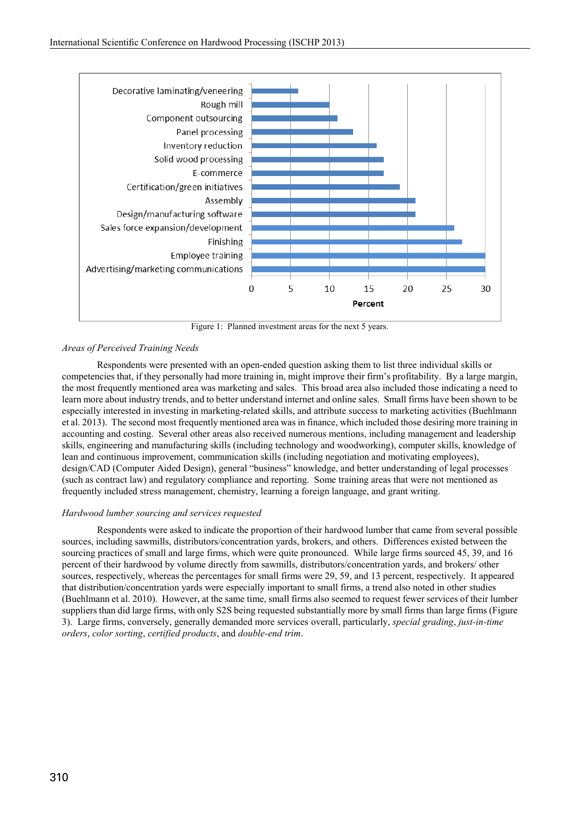

Figure 1: Planned investment areas for the next 5 years.

# *Areas of Perceived Training Needs*

Respondents were presented with an open-ended question asking them to list three individual skills or competencies that, if they personally had more training in, might improve their firm's profitability. By a large margin, the most frequently mentioned area was marketing and sales. This broad area also included those indicating a need to learn more about industry trends, and to better understand internet and online sales. Small firms have been shown to be especially interested in investing in marketing-related skills, and attribute success to marketing activities (Buehlmann et al. 2013). The second most frequently mentioned area was in finance, which included those desiring more training in accounting and costing. Several other areas also received numerous mentions, including management and leadership skills, engineering and manufacturing skills (including technology and woodworking), computer skills, knowledge of lean and continuous improvement, communication skills (including negotiation and motivating employees), design/CAD (Computer Aided Design), general "business" knowledge, and better understanding of legal processes (such as contract law) and regulatory compliance and reporting. Some training areas that were not mentioned as frequently included stress management, chemistry, learning a foreign language, and grant writing.

# *Hardwood lumber sourcing and services requested*

Respondents were asked to indicate the proportion of their hardwood lumber that came from several possible sources, including sawmills, distributors/concentration yards, brokers, and others. Differences existed between the sourcing practices of small and large firms, which were quite pronounced. While large firms sourced 45, 39, and 16 percent of their hardwood by volume directly from sawmills, distributors/concentration yards, and brokers/ other sources, respectively, whereas the percentages for small firms were 29, 59, and 13 percent, respectively. It appeared that distribution/concentration yards were especially important to small firms, a trend also noted in other studies (Buehlmann et al. 2010). However, at the same time, small firms also seemed to request fewer services of their lumber suppliers than did large firms, with only S2S being requested substantially more by small firms than large firms (Figure 3). Large firms, conversely, generally demanded more services overall, particularly, *special grading*, *just-in-time orders*, *color sorting*, *certified products*, and *double-end trim*.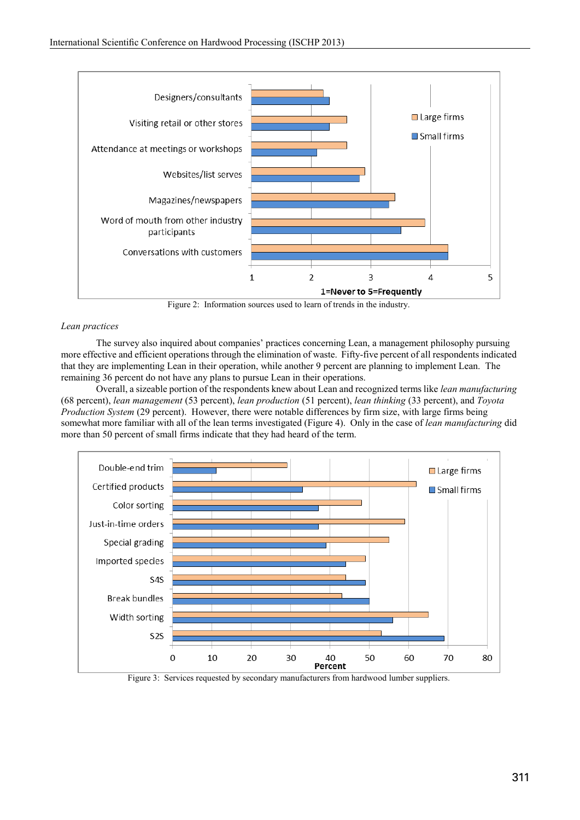

Figure 2: Information sources used to learn of trends in the industry.

# *Lean practices*

The survey also inquired about companies' practices concerning Lean, a management philosophy pursuing more effective and efficient operations through the elimination of waste. Fifty-five percent of all respondents indicated that they are implementing Lean in their operation, while another 9 percent are planning to implement Lean. The remaining 36 percent do not have any plans to pursue Lean in their operations.

Overall, a sizeable portion of the respondents knew about Lean and recognized terms like *lean manufacturing* (68 percent), *lean management* (53 percent), *lean production* (51 percent), *lean thinking* (33 percent), and *Toyota Production System* (29 percent). However, there were notable differences by firm size, with large firms being somewhat more familiar with all of the lean terms investigated (Figure 4). Only in the case of *lean manufacturing* did more than 50 percent of small firms indicate that they had heard of the term.



Figure 3: Services requested by secondary manufacturers from hardwood lumber suppliers.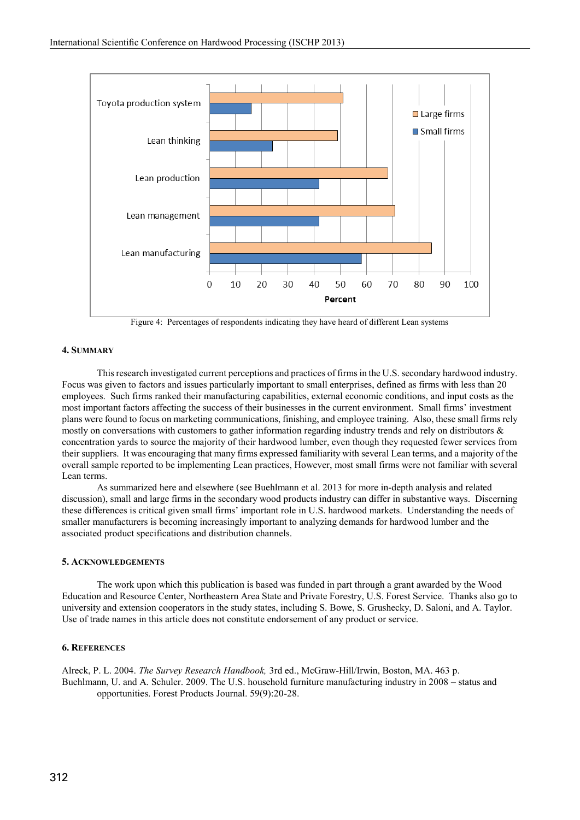

Figure 4: Percentages of respondents indicating they have heard of different Lean systems

# **4. SUMMARY**

This research investigated current perceptions and practices of firms in the U.S. secondary hardwood industry. Focus was given to factors and issues particularly important to small enterprises, defined as firms with less than 20 employees. Such firms ranked their manufacturing capabilities, external economic conditions, and input costs as the most important factors affecting the success of their businesses in the current environment. Small firms' investment plans were found to focus on marketing communications, finishing, and employee training. Also, these small firms rely mostly on conversations with customers to gather information regarding industry trends and rely on distributors  $\&$ concentration yards to source the majority of their hardwood lumber, even though they requested fewer services from their suppliers. It was encouraging that many firms expressed familiarity with several Lean terms, and a majority of the overall sample reported to be implementing Lean practices, However, most small firms were not familiar with several Lean terms.

As summarized here and elsewhere (see Buehlmann et al. 2013 for more in-depth analysis and related discussion), small and large firms in the secondary wood products industry can differ in substantive ways. Discerning these differences is critical given small firms' important role in U.S. hardwood markets. Understanding the needs of smaller manufacturers is becoming increasingly important to analyzing demands for hardwood lumber and the associated product specifications and distribution channels.

# **5. ACKNOWLEDGEMENTS**

The work upon which this publication is based was funded in part through a grant awarded by the Wood Education and Resource Center, Northeastern Area State and Private Forestry, U.S. Forest Service. Thanks also go to university and extension cooperators in the study states, including S. Bowe, S. Grushecky, D. Saloni, and A. Taylor. Use of trade names in this article does not constitute endorsement of any product or service.

# **6. REFERENCES**

Alreck, P. L. 2004. *The Survey Research Handbook,* 3rd ed., McGraw-Hill/Irwin, Boston, MA. 463 p. Buehlmann, U. and A. Schuler. 2009. The U.S. household furniture manufacturing industry in 2008 – status and opportunities. Forest Products Journal. 59(9):20-28.